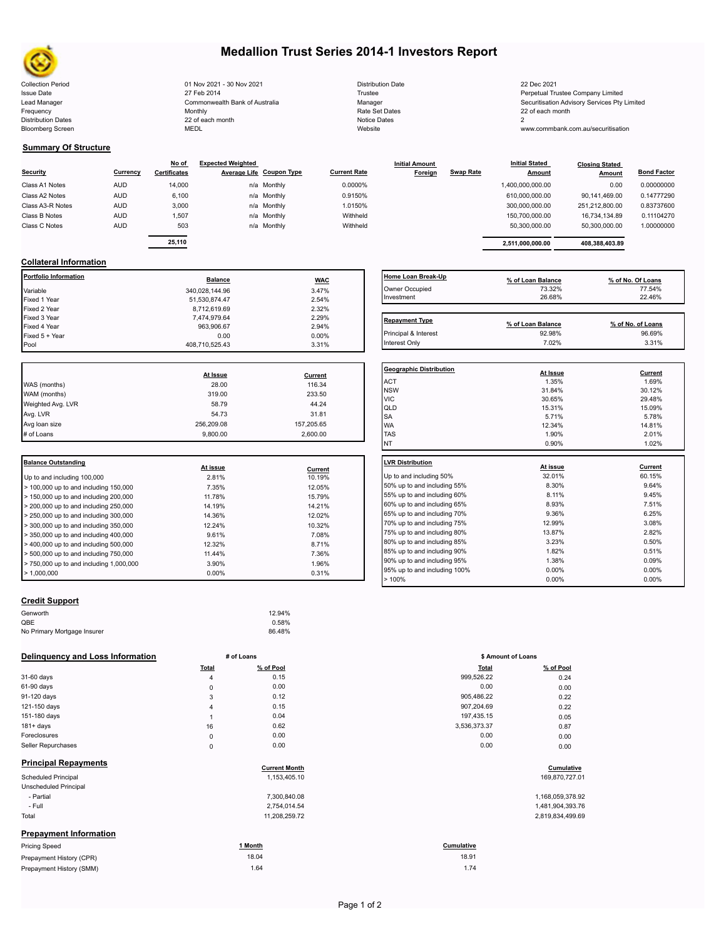

Bloomberg Screen

# **Medallion Trust Series 2014-1 Investors Report**

Collection Period 22 Dec 2021 - 20 Nov 2021 - 30 Nov 2021 Distribution Date Distribution Date 22 Dec 2021 Issue Date **Trustee Company Limited** 27 Feb 2014 27 Feb 2014 **Trustee Trustee Company Limited** Perpetual Trustee Company Limited Lead Manager **Manager** Manager Securitisation Advisory Services Pty Limited Commonwealth Bank of Australia Manager Manager Securitisation Advisory Services Pty Limited Frequency 22 of each month Monthly Monthly Rate Set Dates Rate Set Dates 22 of each month Distribution Dates **Notice 2** and the control of the 22 of each month **Notice Dates** Notice Dates 2 27 Feb 2014 Commonwealth Bank of Australia Monthly 22 of each month

| <b>Distribution Date</b> |
|--------------------------|
| Trustee                  |
| Manager                  |
| Rate Set Dates           |
| Notice Dates             |
| Website                  |

www.commbank.com.au/securitisation

## **Summary Of Structure**

|                  |            | No of               | <b>Expected Weighted</b> |                          |                     | <b>Initial Amount</b> |                  | <b>Initial Stated</b> | <b>Closing Stated</b> |                    |
|------------------|------------|---------------------|--------------------------|--------------------------|---------------------|-----------------------|------------------|-----------------------|-----------------------|--------------------|
| Security         | Currency   | <b>Certificates</b> |                          | Average Life Coupon Type | <b>Current Rate</b> | Foreign               | <b>Swap Rate</b> | <b>Amount</b>         | Amount                | <b>Bond Factor</b> |
| Class A1 Notes   | <b>AUD</b> | 14,000              |                          | n/a Monthly              | 0.0000%             |                       |                  | 1,400,000,000.00      | 0.00                  | 0.00000000         |
| Class A2 Notes   | <b>AUD</b> | 6,100               |                          | n/a Monthly              | 0.9150%             |                       |                  | 610,000,000.00        | 90.141.469.00         | 0.14777290         |
| Class A3-R Notes | <b>AUD</b> | 3,000               |                          | n/a Monthly              | 1.0150%             |                       |                  | 300,000,000.00        | 251,212,800.00        | 0.83737600         |
| Class B Notes    | <b>AUD</b> | 1.507               |                          | n/a Monthly              | Withheld            |                       |                  | 150.700.000.00        | 16.734.134.89         | 0.11104270         |
| Class C Notes    | <b>AUD</b> | 503                 |                          | n/a Monthly              | Withheld            |                       |                  | 50.300.000.00         | 50,300,000.00         | 1.00000000         |
|                  |            |                     |                          |                          |                     |                       |                  |                       |                       |                    |
|                  |            | 25,110              |                          |                          |                     |                       |                  | 2,511,000,000.00      | 408,388,403.89        |                    |

| <b>Repayment Type</b> |                   | % of No. of Loans |
|-----------------------|-------------------|-------------------|
| Investment            | 26.68%            | 22.46%            |
| Owner Occupied        | 73.32%            | 77.54%            |
| Home Loan Break-Up    | % of Loan Balance | % of No. Of Loans |

| <b>Repayment Type</b><br>% of No. of Loans<br>% of Loan Balance<br>92.98%<br>96.69%<br>Principal & Interest |
|-------------------------------------------------------------------------------------------------------------|
|                                                                                                             |
|                                                                                                             |
| 3.31%<br>7.02%<br>Interest Only                                                                             |

| <b>Geographic Distribution</b> | At Issue | <b>Current</b> |
|--------------------------------|----------|----------------|
| <b>ACT</b>                     | 1.35%    | 1.69%          |
| <b>NSW</b>                     | 31.84%   | 30.12%         |
| <b>VIC</b>                     | 30.65%   | 29.48%         |
| QLD                            | 15.31%   | 15.09%         |
| SA                             | 5.71%    | 5.78%          |
| <b>WA</b>                      | 12.34%   | 14.81%         |
| <b>TAS</b>                     | 1.90%    | 2.01%          |
| <b>NT</b>                      | 0.90%    | 1.02%          |
|                                | At issue | Current        |
| Up to and including 50%        | 32.01%   | 60.15%         |
| 50% up to and including 55%    | 8.30%    | 9.64%          |
| 55% up to and including 60%    | 8.11%    | 9.45%          |
|                                |          |                |
| 60% up to and including 65%    | 8.93%    | 7.51%          |
| 65% up to and including 70%    | 9.36%    | 6.25%          |
| 70% up to and including 75%    | 12.99%   | 3.08%          |
| 75% up to and including 80%    | 13.87%   | 2.82%          |
| 80% up to and including 85%    | 3.23%    | 0.50%          |
| 85% up to and including 90%    | 1.82%    | 0.51%          |

90% point to and including 95% 1.38% 1.38% 1.38% 0.09% 0.09% 1.38% 0.09% 0.00% 1.38% 0.00% 0.00% 0.00% 0.00% 0<br>95% up to and including 100% 0.00% 0.00% 0.00% 0.00% 0.00% 0.00% 0.00% 0.00% 0.00% 0.00% 0.00% 0.00% 0.00% 0.0 95% up to and including 100% 0.00% 0.00% 0.00% 0.00% 0.00% 0.00% 0.00% 0.00% 0.00% 0.00% 0.00% 0.00% 0.00% 0.00% 0.00% 0.00% 0.00% 0.00% 0.00% 0.00% 0.00% 0.00% 0.00% 0.00% 0.00% 0.00% 0.00% 0.00% 0.00% 0.00% 0.00% 0.00% 0

# **Collateral Information**

| Home Loan Break-      | <b>WAC</b> | <b>Balance</b> | Portfolio Information |
|-----------------------|------------|----------------|-----------------------|
| Owner Occupied        | 3.47%      | 340.028.144.96 | Variable              |
| Investment            | 2.54%      | 51.530.874.47  | Fixed 1 Year          |
|                       | 2.32%      | 8,712,619.69   | Fixed 2 Year          |
| <b>Repayment Type</b> | 2.29%      | 7,474,979.64   | Fixed 3 Year          |
|                       | 2.94%      | 963.906.67     | Fixed 4 Year          |
| Principal & Interest  | $0.00\%$   | 0.00           |                       |
| Interest Only         | 3.31%      | 408.710.525.43 | Pool                  |
|                       |            |                | Fixed 5 + Year        |

|                   |            |            | Geo                     |
|-------------------|------------|------------|-------------------------|
|                   | At Issue   | Current    |                         |
| WAS (months)      | 28.00      | 116.34     | AC <sup>-</sup>         |
| WAM (months)      | 319.00     | 233.50     | <b>NS</b><br><b>VIC</b> |
| Weighted Avg. LVR | 58.79      | 44.24      | lqlı                    |
| Avg. LVR          | 54.73      | 31.81      | <b>SA</b>               |
| Avg loan size     | 256,209.08 | 157,205.65 | <b>WA</b>               |
| # of Loans        | 9.800.00   | 2.600.00   | <b>TAS</b>              |
|                   |            |            |                         |

| Balance Outstanding                                       | At issue |         | <b>ILVR Distribution</b> |
|-----------------------------------------------------------|----------|---------|--------------------------|
|                                                           |          | Current |                          |
| Up to and including 100,000                               | 2.81%    | 10.19%  | Up to and including      |
| $>$ 100,000 up to and including 150,000                   | 7.35%    | 12.05%  | 50% up to and incl       |
| $\blacktriangleright$ 150,000 up to and including 200,000 | 11.78%   | 15.79%  | 55% up to and incl       |
| $>$ 200,000 up to and including 250,000                   | 14.19%   | 14.21%  | 60% up to and incl       |
| $> 250,000$ up to and including 300,000                   | 14.36%   | 12.02%  | 65% up to and incl       |
| $\geq$ 300,000 up to and including 350,000                | 12.24%   | 10.32%  | 70% up to and incl       |
| $\blacktriangleright$ 350,000 up to and including 400,000 | 9.61%    | 7.08%   | 75% up to and incl       |
|                                                           |          |         | 80% up to and incl       |
| > 400,000 up to and including 500,000                     | 12.32%   | 8.71%   |                          |
| $\geq 500,000$ up to and including 750,000                | 11.44%   | 7.36%   | 85% up to and incl       |
| $\geq 750.000$ up to and including 1.000.000              | 3.90%    | 1.96%   | 90% up to and incl       |
| $\blacktriangleright$ 1.000.000                           | $0.00\%$ | 0.31%   | 95% up to and incl       |

# **Credit Support**

| Genworth                    | 12.94% |
|-----------------------------|--------|
| QBE                         | 0.58%  |
| No Primary Mortgage Insurer | 86.48% |

### **Delinquency and Loss Information # of Loans**

|                               | Total          | % of Pool            | Total        | % of Pool        |
|-------------------------------|----------------|----------------------|--------------|------------------|
| 31-60 days                    | $\overline{4}$ | 0.15                 | 999,526.22   | 0.24             |
| 61-90 days                    | $\mathsf 0$    | 0.00                 | 0.00         | 0.00             |
| 91-120 days                   | 3              | 0.12                 | 905,486.22   | 0.22             |
| 121-150 days                  | 4              | 0.15                 | 907,204.69   | 0.22             |
| 151-180 days                  |                | 0.04                 | 197,435.15   | 0.05             |
| $181 + days$                  | 16             | 0.62                 | 3,536,373.37 | 0.87             |
| Foreclosures                  | $\mathsf 0$    | 0.00                 | 0.00         | 0.00             |
| Seller Repurchases            | $\mathbf 0$    | 0.00                 | 0.00         | 0.00             |
| <b>Principal Repayments</b>   |                | <b>Current Month</b> |              | Cumulative       |
| Scheduled Principal           |                | 1,153,405.10         |              | 169,870,727.01   |
| Unscheduled Principal         |                |                      |              |                  |
| - Partial                     |                | 7,300,840.08         |              | 1,168,059,378.92 |
| - Full                        |                | 2,754,014.54         |              | 1,481,904,393.76 |
| Total                         |                | 11,208,259.72        |              | 2,819,834,499.69 |
| <b>Prepayment Information</b> |                |                      |              |                  |
| <b>Pricing Speed</b>          |                | 1 Month              | Cumulative   |                  |
| Prepayment History (CPR)      |                | 18.04                | 18.91        |                  |
| Prepayment History (SMM)      |                | 1.64                 | 1.74         |                  |

|                | # of Loans | \$ Amount of Loans |           |
|----------------|------------|--------------------|-----------|
| Total          | % of Pool  | <b>Total</b>       | % of Pool |
| 4              | 0.15       | 999,526.22         | 0.24      |
| 0              | 0.00       | 0.00               | 0.00      |
| 3              | 0.12       | 905,486.22         | 0.22      |
| $\overline{4}$ | 0.15       | 907,204.69         | 0.22      |
| 1              | 0.04       | 197,435.15         | 0.05      |
| 16             | 0.62       | 3,536,373.37       | 0.87      |
| 0              | 0.00       | 0.00               | 0.00      |
| 0              | 0.00       | 0.00               | 0.00      |
|                |            |                    |           |
|                |            |                    |           |

 $> 100\%$  and the set of the set of the set of the set of the set of the set of the set of the set of the set of the set of the set of the set of the set of the set of the set of the set of the set of the set of the set o

| 1,168,059,378.92 |
|------------------|
| 1,481,904,393.7  |
| 2.819.834.499.6  |